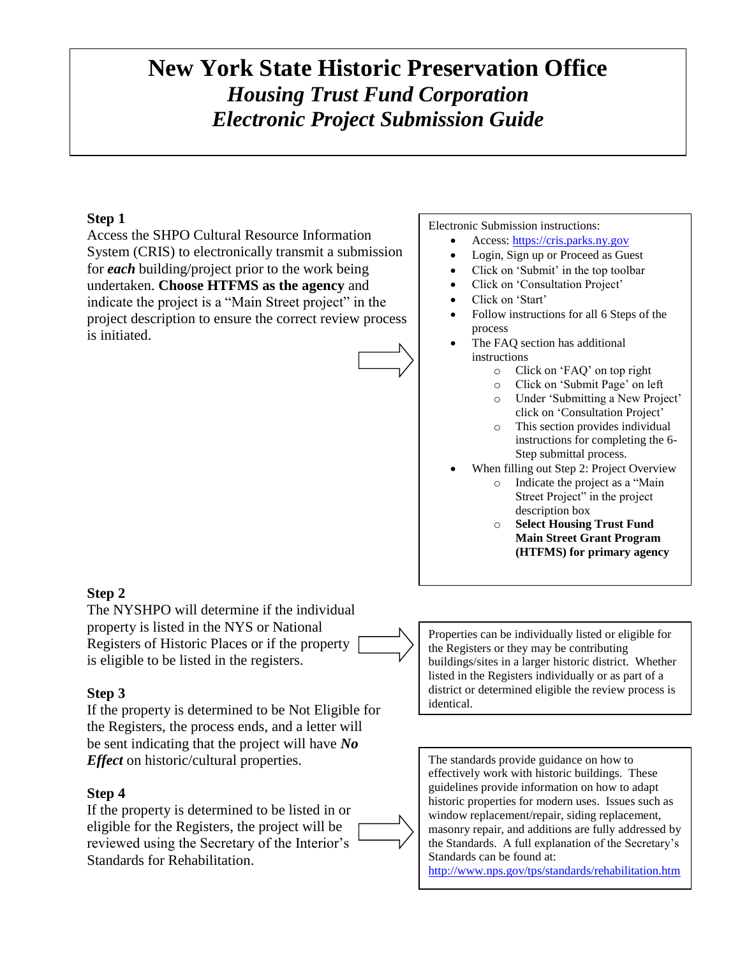# **New York State Historic Preservation Office** *Housing Trust Fund Corporation Electronic Project Submission Guide*

# **Step 1**

Access the SHPO Cultural Resource Information System (CRIS) to electronically transmit a submission for *each* building/project prior to the work being undertaken. **Choose HTFMS as the agency** and indicate the project is a "Main Street project" in the project description to ensure the correct review process is initiated.



#### Electronic Submission instructions:

- Access: [https://cris.parks.ny.gov](https://cris.parks.ny.gov/)
- Login, Sign up or Proceed as Guest
- Click on 'Submit' in the top toolbar
- Click on 'Consultation Project'
- Click on 'Start'
- Follow instructions for all 6 Steps of the process
- The FAO section has additional instructions
	- o Click on 'FAQ' on top right
	- o Click on 'Submit Page' on left
	- o Under 'Submitting a New Project' click on 'Consultation Project'
	- o This section provides individual instructions for completing the 6- Step submittal process.
- When filling out Step 2: Project Overview
	- o Indicate the project as a "Main Street Project" in the project description box
	- o **Select Housing Trust Fund Main Street Grant Program (HTFMS) for primary agency**

### **Step 2**

The NYSHPO will determine if the individual property is listed in the NYS or National Registers of Historic Places or if the property is eligible to be listed in the registers.

### **Step 3**

If the property is determined to be Not Eligible for the Registers, the process ends, and a letter will be sent indicating that the project will have *No Effect* on historic/cultural properties.

### **Step 4**

If the property is determined to be listed in or eligible for the Registers, the project will be reviewed using the Secretary of the Interior's Standards for Rehabilitation.



Properties can be individually listed or eligible for the Registers or they may be contributing buildings/sites in a larger historic district. Whether listed in the Registers individually or as part of a district or determined eligible the review process is identical.

The standards provide guidance on how to effectively work with historic buildings. These guidelines provide information on how to adapt historic properties for modern uses. Issues such as window replacement/repair, siding replacement, masonry repair, and additions are fully addressed by the Standards. A full explanation of the Secretary's Standards can be found at:

<http://www.nps.gov/tps/standards/rehabilitation.htm>